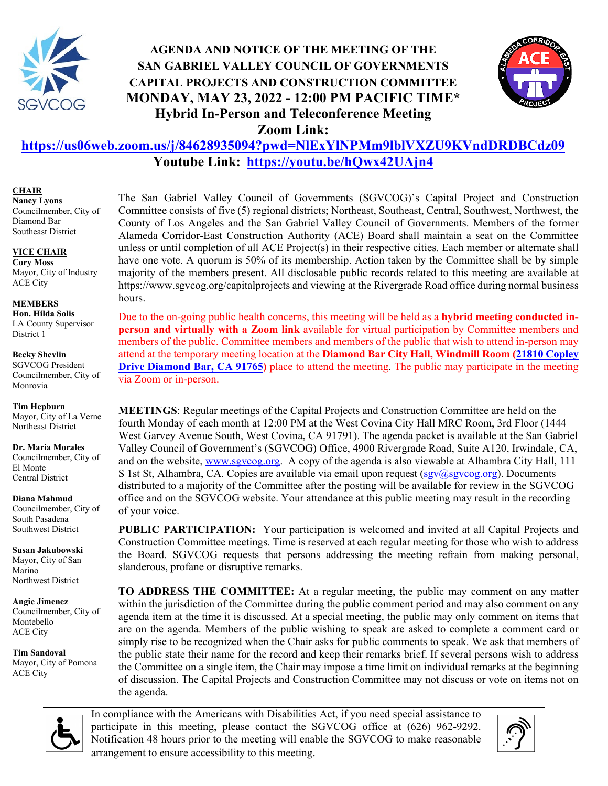

# **AGENDA AND NOTICE OF THE MEETING OF THE SAN GABRIEL VALLEY COUNCIL OF GOVERNMENTS CAPITAL PROJECTS AND CONSTRUCTION COMMITTEE MONDAY, MAY 23, 2022 - 12:00 PM PACIFIC TIME\* Hybrid In-Person and Teleconference Meeting Zoom Link:**



# **<https://us06web.zoom.us/j/84628935094?pwd=NlExYlNPMm9lblVXZU9KVndDRDBCdz09> Youtube Link:<https://youtu.be/hQwx42UAjn4>**

#### **CHAIR**

**Nancy Lyons** Councilmember, City of Diamond Bar Southeast District

#### **VICE CHAIR**

**Cory Moss** Mayor, City of Industry ACE City

**MEMBERS Hon. Hilda Solis** LA County Supervisor District 1

**Becky Shevlin** SGVCOG President Councilmember, City of Monrovia

#### **Tim Hepburn**

Mayor, City of La Verne Northeast District

**Dr. Maria Morales**

Councilmember, City of El Monte Central District

**Diana Mahmud**

Councilmember, City of South Pasadena Southwest District

**Susan Jakubowski** Mayor, City of San Marino Northwest District

**Angie Jimenez** Councilmember, City of Montebello ACE City

**Tim Sandoval** Mayor, City of Pomona ACE City

The San Gabriel Valley Council of Governments (SGVCOG)'s Capital Project and Construction Committee consists of five (5) regional districts; Northeast, Southeast, Central, Southwest, Northwest, the County of Los Angeles and the San Gabriel Valley Council of Governments. Members of the former Alameda Corridor-East Construction Authority (ACE) Board shall maintain a seat on the Committee unless or until completion of all ACE Project(s) in their respective cities. Each member or alternate shall have one vote. A quorum is 50% of its membership. Action taken by the Committee shall be by simple majority of the members present. All disclosable public records related to this meeting are available at <https://www.sgvcog.org/capitalprojects> and viewing at the Rivergrade Road office during normal business hours.

Due to the on-going public health concerns, this meeting will be held as a **hybrid meeting conducted inperson and virtually with a Zoom link** available for virtual participation by Committee members and members of the public. Committee members and members of the public that wish to attend in-person may attend at the temporary meeting location at the **Diamond Bar City Hall, Windmill Room [\(21810 Copley](https://goo.gl/maps/nuJJkNvTMGLG6ss69)  [Drive Diamond Bar, CA 91765\)](https://goo.gl/maps/nuJJkNvTMGLG6ss69)** place to attend the meeting. The public may participate in the meeting via Zoom or in-person.

**MEETINGS**: Regular meetings of the Capital Projects and Construction Committee are held on the fourth Monday of each month at 12:00 PM at the West Covina City Hall MRC Room, 3rd Floor (1444 West Garvey Avenue South, West Covina, CA 91791). The agenda packet is available at the San Gabriel Valley Council of Government's (SGVCOG) Office, 4900 Rivergrade Road, Suite A120, Irwindale, CA, and on the website, [www.sgvcog.org.](http://www.sgvcog.org/) A copy of the agenda is also viewable at Alhambra City Hall, 111 S 1st St, Alhambra, CA. Copies are available via email upon request  $(sgv@sgvcog.org)$ . Documents distributed to a majority of the Committee after the posting will be available for review in the SGVCOG office and on the SGVCOG website. Your attendance at this public meeting may result in the recording of your voice.

**PUBLIC PARTICIPATION:** Your participation is welcomed and invited at all Capital Projects and Construction Committee meetings. Time is reserved at each regular meeting for those who wish to address the Board. SGVCOG requests that persons addressing the meeting refrain from making personal, slanderous, profane or disruptive remarks.

**TO ADDRESS THE COMMITTEE:** At a regular meeting, the public may comment on any matter within the jurisdiction of the Committee during the public comment period and may also comment on any agenda item at the time it is discussed. At a special meeting, the public may only comment on items that are on the agenda. Members of the public wishing to speak are asked to complete a comment card or simply rise to be recognized when the Chair asks for public comments to speak. We ask that members of the public state their name for the record and keep their remarks brief. If several persons wish to address the Committee on a single item, the Chair may impose a time limit on individual remarks at the beginning of discussion. The Capital Projects and Construction Committee may not discuss or vote on items not on the agenda.



In compliance with the Americans with Disabilities Act, if you need special assistance to participate in this meeting, please contact the SGVCOG office at (626) 962-9292. Notification 48 hours prior to the meeting will enable the SGVCOG to make reasonable arrangement to ensure accessibility to this meeting.

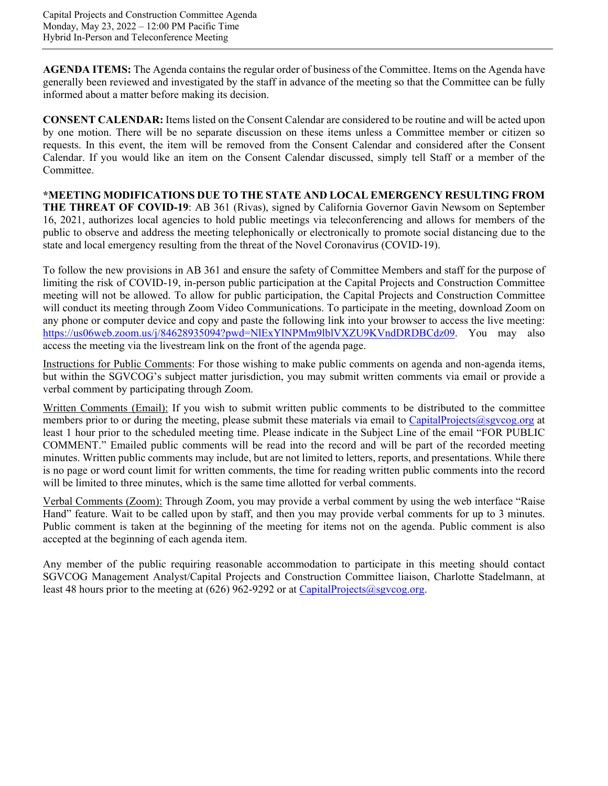**AGENDA ITEMS:** The Agenda contains the regular order of business of the Committee. Items on the Agenda have generally been reviewed and investigated by the staff in advance of the meeting so that the Committee can be fully informed about a matter before making its decision.

**CONSENT CALENDAR:** Items listed on the Consent Calendar are considered to be routine and will be acted upon by one motion. There will be no separate discussion on these items unless a Committee member or citizen so requests. In this event, the item will be removed from the Consent Calendar and considered after the Consent Calendar. If you would like an item on the Consent Calendar discussed, simply tell Staff or a member of the Committee.

**\*MEETING MODIFICATIONS DUE TO THE STATE AND LOCAL EMERGENCY RESULTING FROM THE THREAT OF COVID-19**: AB 361 (Rivas), signed by California Governor Gavin Newsom on September 16, 2021, authorizes local agencies to hold public meetings via teleconferencing and allows for members of the public to observe and address the meeting telephonically or electronically to promote social distancing due to the state and local emergency resulting from the threat of the Novel Coronavirus (COVID-19).

To follow the new provisions in AB 361 and ensure the safety of Committee Members and staff for the purpose of limiting the risk of COVID-19, in-person public participation at the Capital Projects and Construction Committee meeting will not be allowed. To allow for public participation, the Capital Projects and Construction Committee will conduct its meeting through Zoom Video Communications. To participate in the meeting, download Zoom on any phone or computer device and copy and paste the following link into your browser to access the live meeting: [https://us06web.zoom.us/j/84628935094?pwd=NlExYlNPMm9lblVXZU9KVndDRDBCdz09.](https://us06web.zoom.us/j/84628935094?pwd=NlExYlNPMm9lblVXZU9KVndDRDBCdz09) You may also access the meeting via the livestream link on the front of the agenda page.

Instructions for Public Comments: For those wishing to make public comments on agenda and non-agenda items, but within the SGVCOG's subject matter jurisdiction, you may submit written comments via email or provide a verbal comment by participating through Zoom.

Written Comments (Email): If you wish to submit written public comments to be distributed to the committee members prior to or during the meeting, please submit these materials via email to [CapitalProjects@sgvcog.org](mailto:CapitalProjects@sgvcog.org) at least 1 hour prior to the scheduled meeting time. Please indicate in the Subject Line of the email "FOR PUBLIC COMMENT." Emailed public comments will be read into the record and will be part of the recorded meeting minutes. Written public comments may include, but are not limited to letters, reports, and presentations. While there is no page or word count limit for written comments, the time for reading written public comments into the record will be limited to three minutes, which is the same time allotted for verbal comments.

Verbal Comments (Zoom): Through Zoom, you may provide a verbal comment by using the web interface "Raise Hand" feature. Wait to be called upon by staff, and then you may provide verbal comments for up to 3 minutes. Public comment is taken at the beginning of the meeting for items not on the agenda. Public comment is also accepted at the beginning of each agenda item.

Any member of the public requiring reasonable accommodation to participate in this meeting should contact SGVCOG Management Analyst/Capital Projects and Construction Committee liaison, Charlotte Stadelmann, at least 48 hours prior to the meeting at  $(626)$  962-9292 or at [CapitalProjects@sgvcog.org.](mailto:CapitalProjects@sgvcog.org)